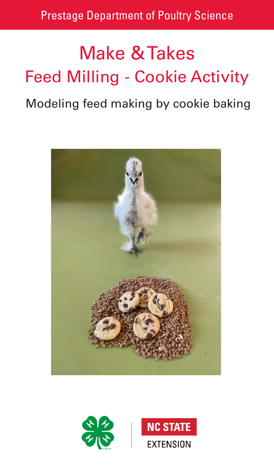# Make & Takes Feed Milling - Cookie Activity

# Modeling feed making by cookie baking